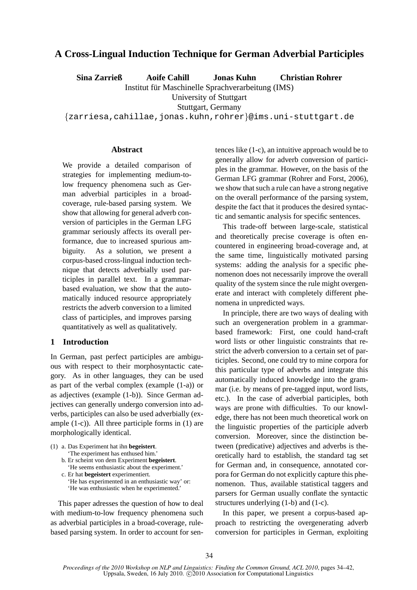# **A Cross-Lingual Induction Technique for German Adverbial Participles**

**Sina Zarrieß Aoife Cahill Jonas Kuhn Christian Rohrer**

Institut fur Maschinelle Sprachverarbeitung (IMS) ¨

University of Stuttgart

Stuttgart, Germany

{zarriesa,cahillae,jonas.kuhn,rohrer}@ims.uni-stuttgart.de

# **Abstract**

We provide a detailed comparison of strategies for implementing medium-tolow frequency phenomena such as German adverbial participles in a broadcoverage, rule-based parsing system. We show that allowing for general adverb conversion of participles in the German LFG grammar seriously affects its overall performance, due to increased spurious ambiguity. As a solution, we present a corpus-based cross-lingual induction technique that detects adverbially used participles in parallel text. In a grammarbased evaluation, we show that the automatically induced resource appropriately restricts the adverb conversion to a limited class of participles, and improves parsing quantitatively as well as qualitatively.

# **1 Introduction**

In German, past perfect participles are ambiguous with respect to their morphosyntactic category. As in other languages, they can be used as part of the verbal complex (example (1-a)) or as adjectives (example (1-b)). Since German adjectives can generally undergo conversion into adverbs, participles can also be used adverbially (example (1-c)). All three participle forms in (1) are morphologically identical.

(1) a. Das Experiment hat ihn **begeistert**. 'The experiment has enthused him.' b. Er scheint von dem Experiment **begeistert**. 'He seems enthusiastic about the experiment.' c. Er hat **begeistert** experimentiert. 'He has experimented in an enthusiastic way' or: 'He was enthusiastic when he experimented.'

This paper adresses the question of how to deal with medium-to-low frequency phenomena such as adverbial participles in a broad-coverage, rulebased parsing system. In order to account for sentences like (1-c), an intuitive approach would be to generally allow for adverb conversion of participles in the grammar. However, on the basis of the German LFG grammar (Rohrer and Forst, 2006), we show that such a rule can have a strong negative on the overall performance of the parsing system, despite the fact that it produces the desired syntactic and semantic analysis for specific sentences.

This trade-off between large-scale, statistical and theoretically precise coverage is often encountered in engineering broad-coverage and, at the same time, linguistically motivated parsing systems: adding the analysis for a specific phenomenon does not necessarily improve the overall quality of the system since the rule might overgenerate and interact with completely different phenomena in unpredicted ways.

In principle, there are two ways of dealing with such an overgeneration problem in a grammarbased framework: First, one could hand-craft word lists or other linguistic constraints that restrict the adverb conversion to a certain set of participles. Second, one could try to mine corpora for this particular type of adverbs and integrate this automatically induced knowledge into the grammar (i.e. by means of pre-tagged input, word lists, etc.). In the case of adverbial participles, both ways are prone with difficulties. To our knowledge, there has not been much theoretical work on the linguistic properties of the participle adverb conversion. Moreover, since the distinction between (predicative) adjectives and adverbs is theoretically hard to establish, the standard tag set for German and, in consequence, annotated corpora for German do not explicitly capture this phenomenon. Thus, available statistical taggers and parsers for German usually conflate the syntactic structures underlying (1-b) and (1-c).

In this paper, we present a corpus-based approach to restricting the overgenerating adverb conversion for participles in German, exploiting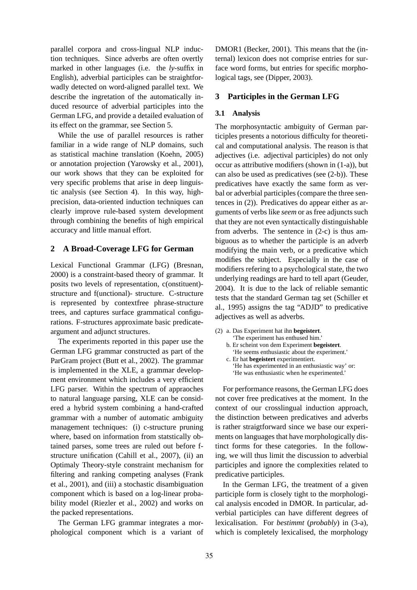parallel corpora and cross-lingual NLP induction techniques. Since adverbs are often overtly marked in other languages (i.e. the *ly*-suffix in English), adverbial participles can be straightforwadly detected on word-aligned parallel text. We describe the ingretation of the automatically induced resource of adverbial participles into the German LFG, and provide a detailed evaluation of its effect on the grammar, see Section 5.

While the use of parallel resources is rather familiar in a wide range of NLP domains, such as statistical machine translation (Koehn, 2005) or annotation projection (Yarowsky et al., 2001), our work shows that they can be exploited for very specific problems that arise in deep linguistic analysis (see Section 4). In this way, highprecision, data-oriented induction techniques can clearly improve rule-based system development through combining the benefits of high empirical accuracy and little manual effort.

# **2 A Broad-Coverage LFG for German**

Lexical Functional Grammar (LFG) (Bresnan, 2000) is a constraint-based theory of grammar. It posits two levels of representation, c(onstituent) structure and f(unctional)- structure. C-structure is represented by contextfree phrase-structure trees, and captures surface grammatical configurations. F-structures approximate basic predicateargument and adjunct structures.

The experiments reported in this paper use the German LFG grammar constructed as part of the ParGram project (Butt et al., 2002). The grammar is implemented in the XLE, a grammar development environment which includes a very efficient LFG parser. Within the spectrum of appraoches to natural language parsing, XLE can be considered a hybrid system combining a hand-crafted grammar with a number of automatic ambiguity management techniques: (i) c-structure pruning where, based on information from statstically obtained parses, some trees are ruled out before fstructure unification (Cahill et al., 2007), (ii) an Optimaly Theory-style constraint mechanism for filtering and ranking competing analyses (Frank et al., 2001), and (iii) a stochastic disambiguation component which is based on a log-linear probability model (Riezler et al., 2002) and works on the packed representations.

The German LFG grammar integrates a morphological component which is a variant of DMOR1 (Becker, 2001). This means that the (internal) lexicon does not comprise entries for surface word forms, but entries for specific morphological tags, see (Dipper, 2003).

# **3 Participles in the German LFG**

### **3.1 Analysis**

The morphosyntactic ambiguity of German participles presents a notorious difficulty for theoretical and computational analysis. The reason is that adjectives (i.e. adjectival participles) do not only occur as attributive modifiers (shown in (1-a)), but can also be used as predicatives (see (2-b)). These predicatives have exactly the same form as verbal or adverbial participles (compare the three sentences in (2)). Predicatives do appear either as arguments of verbs like *seem* or as free adjuncts such that they are not even syntactically distinguishable from adverbs. The sentence in (2-c) is thus ambiguous as to whether the participle is an adverb modifying the main verb, or a predicative which modifies the subject. Especially in the case of modifiers refering to a psychological state, the two underlying readings are hard to tell apart (Geuder, 2004). It is due to the lack of reliable semantic tests that the standard German tag set (Schiller et al., 1995) assigns the tag "ADJD" to predicative adjectives as well as adverbs.

- (2) a. Das Experiment hat ihn **begeistert**. 'The experiment has enthused him.' b. Er scheint von dem Experiment **begeistert**. 'He seems enthusiastic about the experiment.' c. Er hat **begeistert** experimentiert.
	- 'He has experimented in an enthusiastic way' or: 'He was enthusiastic when he experimented.'

For performance reasons, the German LFG does not cover free predicatives at the moment. In the context of our crosslingual induction approach, the distinction between predicatives and adverbs is rather straigtforward since we base our experiments on languages that have morphologically distinct forms for these categories. In the following, we will thus limit the discussion to adverbial participles and ignore the complexities related to predicative participles.

In the German LFG, the treatment of a given participle form is closely tight to the morphological analysis encoded in DMOR. In particular, adverbial participles can have different degrees of lexicalisation. For *bestimmt* (*probably*) in (3-a), which is completely lexicalised, the morphology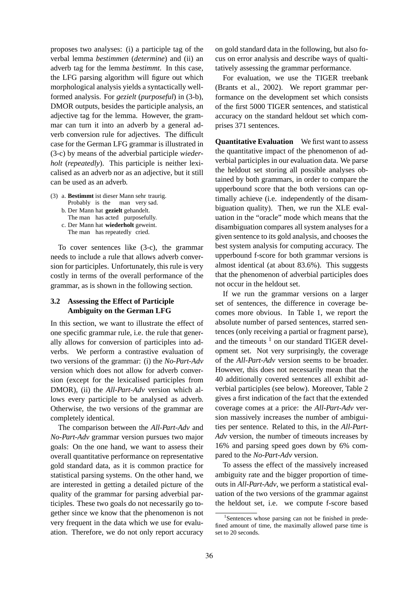proposes two analyses: (i) a participle tag of the verbal lemma *bestimmen* (*determine*) and (ii) an adverb tag for the lemma *bestimmt*. In this case, the LFG parsing algorithm will figure out which morphological analysis yields a syntactically wellformed analysis. For *gezielt* (*purposeful*) in (3-b), DMOR outputs, besides the participle analysis, an adjective tag for the lemma. However, the grammar can turn it into an adverb by a general adverb conversion rule for adjectives. The difficult case for the German LFG grammar is illustrated in (3-c) by means of the adverbial participle *wiederholt* (*repeatedly*). This participle is neither lexicalised as an adverb nor as an adjective, but it still can be used as an adverb.

- (3) a. **Bestimmt** ist dieser Mann sehr traurig.
	- Probably is the man very sad. b. Der Mann hat **gezielt** gehandelt.
	- The man has acted purposefully.
	- c. Der Mann hat **wiederholt** geweint. The man has repeatedly cried.

To cover sentences like (3-c), the grammar needs to include a rule that allows adverb conversion for participles. Unfortunately, this rule is very costly in terms of the overall performance of the grammar, as is shown in the following section.

# **3.2 Assessing the Effect of Participle Ambiguity on the German LFG**

In this section, we want to illustrate the effect of one specific grammar rule, i.e. the rule that generally allows for conversion of participles into adverbs. We perform a contrastive evaluation of two versions of the grammar: (i) the *No-Part-Adv* version which does not allow for adverb conversion (except for the lexicalised participles from DMOR), (ii) the *All-Part-Adv* version which allows every participle to be analysed as adverb. Otherwise, the two versions of the grammar are completely identical.

The comparison between the *All-Part-Adv* and *No-Part-Adv* grammar version pursues two major goals: On the one hand, we want to assess their overall quantitative performance on representative gold standard data, as it is common practice for statistical parsing systems. On the other hand, we are interested in getting a detailed picture of the quality of the grammar for parsing adverbial participles. These two goals do not necessarily go together since we know that the phenomenon is not very frequent in the data which we use for evaluation. Therefore, we do not only report accuracy on gold standard data in the following, but also focus on error analysis and describe ways of qualtitatively assessing the grammar performance.

For evaluation, we use the TIGER treebank (Brants et al., 2002). We report grammar performance on the development set which consists of the first 5000 TIGER sentences, and statistical accuracy on the standard heldout set which comprises 371 sentences.

**Quantitative Evaluation** We first want to assess the quantitative impact of the phenomenon of adverbial participles in our evaluation data. We parse the heldout set storing all possible analyses obtained by both grammars, in order to compare the upperbound score that the both versions can optimally achieve (i.e. independently of the disambiguation quality). Then, we run the XLE evaluation in the "oracle" mode which means that the disambiguation compares all system analyses for a given sentence to its gold analysis, and chooses the best system analysis for computing accuracy. The upperbound f-score for both grammar versions is almost identical (at about 83.6%). This suggests that the phenomenon of adverbial participles does not occur in the heldout set.

If we run the grammar versions on a larger set of sentences, the difference in coverage becomes more obvious. In Table 1, we report the absolute number of parsed sentences, starred sentences (only receiving a partial or fragment parse), and the timeouts  $1$  on our standard TIGER development set. Not very surprisingly, the coverage of the *All-Part-Adv* version seems to be broader. However, this does not necessarily mean that the 40 additionally covered sentences all exhibit adverbial participles (see below). Moreover, Table 2 gives a first indication of the fact that the extended coverage comes at a price: the *All-Part-Adv* version massively increases the number of ambiguities per sentence. Related to this, in the *All-Part-Adv* version, the number of timeouts increases by 16% and parsing speed goes down by 6% compared to the *No-Part-Adv* version.

To assess the effect of the massively increased ambiguity rate and the bigger proportion of timeouts in *All-Part-Adv*, we perform a statistical evaluation of the two versions of the grammar against the heldout set, i.e. we compute f-score based

<sup>&</sup>lt;sup>1</sup>Sentences whose parsing can not be finished in predefined amount of time, the maximally allowed parse time is set to 20 seconds.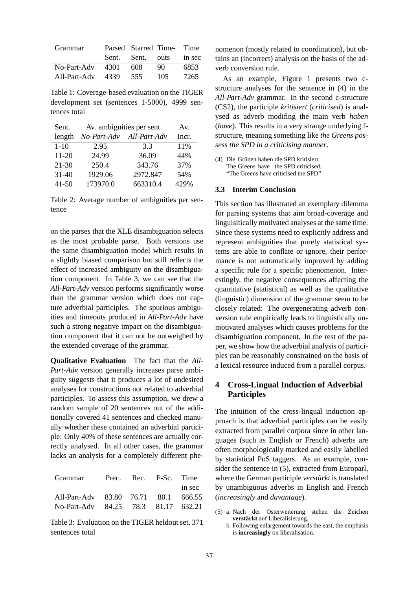| <b>Grammar</b>        | Parsed Starred Time- Time |     |        |
|-----------------------|---------------------------|-----|--------|
|                       | Sent. Sent. outs          |     | in sec |
| $No-Part-Adv$ 4301    | 608                       | 90  | 6853   |
| All-Part-Adv 4339 555 |                           | 105 | 7265   |

Table 1: Coverage-based evaluation on the TIGER development set (sentences 1-5000), 4999 sentences total

| Sent.     | Av. ambiguities per sent. | Av.          |      |
|-----------|---------------------------|--------------|------|
| length    | No-Part-Adv               | All-Part-Adv |      |
| $1 - 10$  | 2.95                      | 3.3          | 11%  |
| $11 - 20$ | 24.99                     | 36.09        | 44%  |
| $21 - 30$ | 250.4                     | 343.76       | 37%  |
| $31 - 40$ | 1929.06                   | 2972.847     | 54%  |
| $41 - 50$ | 173970.0                  | 663310.4     | 429% |

Table 2: Average number of ambiguities per sentence

on the parses that the XLE disambiguation selects as the most probable parse. Both versions use the same disambiguation model which results in a slightly biased comparison but still reflects the effect of increased ambiguity on the disambiguation component. In Table 3, we can see that the *All-Part-Adv* version performs significantly worse than the grammar version which does not capture adverbial participles. The spurious ambiguities and timeouts produced in *All-Part-Adv* have such a strong negative impact on the disambiguation component that it can not be outweighed by the extended coverage of the grammar.

**Qualitative Evaluation** The fact that the *All-Part-Adv* version generally increases parse ambiguity suggests that it produces a lot of undesired analyses for constructions not related to adverbial participles. To assess this assumption, we drew a random sample of 20 sentences out of the additionally covered 41 sentences and checked manually whether these contained an adverbial participle: Only 40% of these sentences are actually correctly analysed. In all other cases, the grammar lacks an analysis for a completely different phe-

| Prec. |  |                                                                                                |
|-------|--|------------------------------------------------------------------------------------------------|
|       |  | in sec                                                                                         |
|       |  |                                                                                                |
|       |  |                                                                                                |
|       |  | Rec. F-Sc. Time<br>All-Part-Adv 83.80 76.71 80.1 666.55<br>No-Part-Adv 84.25 78.3 81.17 632.21 |

Table 3: Evaluation on the TIGER heldout set, 371 sentences total

nomenon (mostly related to coordination), but obtains an (incorrect) analysis on the basis of the adverb conversion rule.

As an example, Figure 1 presents two cstructure analyses for the sentence in (4) in the *All-Part-Adv* grammar. In the second c-structure (CS2), the participle *kritisiert* (*criticised*) is analysed as adverb modifing the main verb *haben* (*have*). This results in a very strange underlying fstructure, meaning something like *the Greens possess the SPD in a criticising manner*.

(4) Die Grünen haben die SPD kritisiert. The Greens have the SPD criticised. "The Greens have criticised the SPD"

#### **3.3 Interim Conclusion**

This section has illustrated an exemplary dilemma for parsing systems that aim broad-coverage and linguisitically motivated analyses at the same time. Since these systems need to explicitly address and represent ambiguities that purely statistical systems are able to conflate or ignore, their performance is not automatically improved by adding a specific rule for a specific phenomenon. Interestingly, the negative consequences affecting the quantitative (statistical) as well as the qualitative (linguistic) dimension of the grammar seem to be closely related: The overgenerating adverb conversion rule empirically leads to linguistically unmotivated analyses which causes problems for the disambiguation component. In the rest of the paper, we show how the adverbial analysis of participles can be reasonably constrained on the basis of a lexical resource induced from a parallel corpus.

# **4 Cross-Lingual Induction of Adverbial Participles**

The intuition of the cross-lingual induction approach is that adverbial participles can be easily extracted from parallel corpora since in other languages (such as English or French) adverbs are often morphologically marked and easily labelled by statistical PoS taggers. As an example, consider the sentence in (5), extracted from Europarl, where the German participle *verstärkt* is translated by unambiguous adverbs in English and French (*increasingly* and *davantage*).

- (5) a. Nach der Osterweiterung stehen die Zeichen **verstärkt** auf Liberalisierung.
	- b. Following enlargement towards the east, the emphasis is **increasingly** on liberalisation.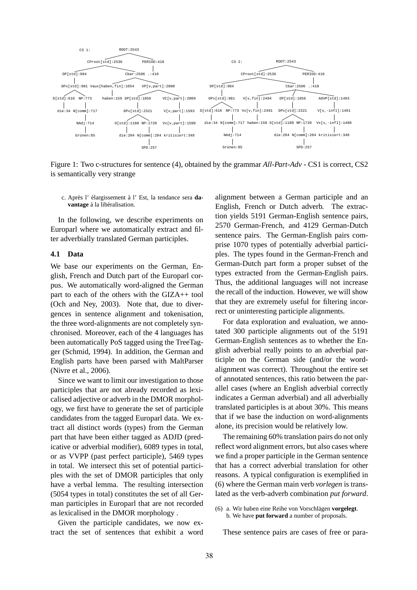

Figure 1: Two c-structures for sentence (4), obtained by the grammar *All-Part-Adv* - CS1 is correct, CS2 is semantically very strange

c. Après l' élargissement à l' Est, la tendance sera **da**vantage à la libéralisation.

In the following, we describe experiments on Europarl where we automatically extract and filter adverbially translated German participles.

#### **4.1 Data**

We base our experiments on the German, English, French and Dutch part of the Europarl corpus. We automatically word-aligned the German part to each of the others with the GIZA++ tool (Och and Ney, 2003). Note that, due to divergences in sentence alignment and tokenisation, the three word-alignments are not completely synchronised. Moreover, each of the 4 languages has been automatically PoS tagged using the TreeTagger (Schmid, 1994). In addition, the German and English parts have been parsed with MaltParser (Nivre et al., 2006).

Since we want to limit our investigation to those participles that are not already recorded as lexicalised adjective or adverb in the DMOR morphology, we first have to generate the set of participle candidates from the tagged Europarl data. We extract all distinct words (types) from the German part that have been either tagged as ADJD (predicative or adverbial modifier), 6089 types in total, or as VVPP (past perfect participle), 5469 types in total. We intersect this set of potential participles with the set of DMOR participles that only have a verbal lemma. The resulting intersection (5054 types in total) constitutes the set of all German participles in Europarl that are not recorded as lexicalised in the DMOR morphology .

Given the participle candidates, we now extract the set of sentences that exhibit a word alignment between a German participle and an English, French or Dutch adverb. The extraction yields 5191 German-English sentence pairs, 2570 German-French, and 4129 German-Dutch sentence pairs. The German-English pairs comprise 1070 types of potentially adverbial participles. The types found in the German-French and German-Dutch part form a proper subset of the types extracted from the German-English pairs. Thus, the additional languages will not increase the recall of the induction. However, we will show that they are extremely useful for filtering incorrect or uninteresting participle alignments.

For data exploration and evaluation, we annotated 300 participle alignments out of the 5191 German-English sentences as to whether the English adverbial really points to an adverbial participle on the German side (and/or the wordalignment was correct). Throughout the entire set of annotated sentences, this ratio between the parallel cases (where an English adverbial correctly indicates a German adverbial) and all adverbially translated participles is at about 30%. This means that if we base the induction on word-alignments alone, its precision would be relatively low.

The remaining 60% translation pairs do not only reflect word alignment errors, but also cases where we find a proper participle in the German sentence that has a correct adverbial translation for other reasons. A typical configuration is exemplified in (6) where the German main verb *vorlegen* is translated as the verb-adverb combination *put forward*.

These sentence pairs are cases of free or para-

<sup>(6)</sup> a. Wir haben eine Reihe von Vorschlägen vorgelegt. b. We have **put forward** a number of proposals.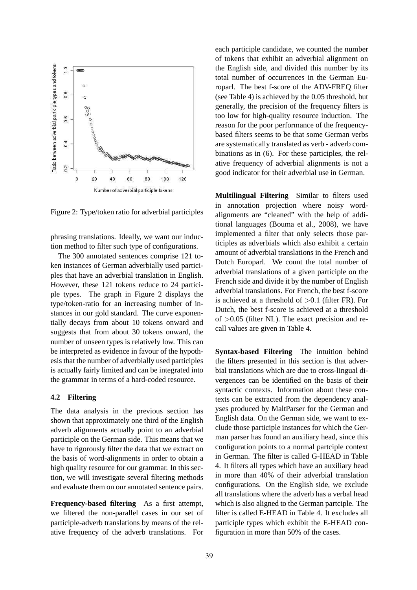

Figure 2: Type/token ratio for adverbial participles

phrasing translations. Ideally, we want our induction method to filter such type of configurations.

The 300 annotated sentences comprise 121 token instances of German adverbially used participles that have an adverbial translation in English. However, these 121 tokens reduce to 24 participle types. The graph in Figure 2 displays the type/token-ratio for an increasing number of instances in our gold standard. The curve exponentially decays from about 10 tokens onward and suggests that from about 30 tokens onward, the number of unseen types is relatively low. This can be interpreted as evidence in favour of the hypothesis that the number of adverbially used participles is actually fairly limited and can be integrated into the grammar in terms of a hard-coded resource.

### **4.2 Filtering**

The data analysis in the previous section has shown that approximately one third of the English adverb alignments actually point to an adverbial participle on the German side. This means that we have to rigorously filter the data that we extract on the basis of word-alignments in order to obtain a high quality resource for our grammar. In this section, we will investigate several filtering methods and evaluate them on our annotated sentence pairs.

**Frequency-based filtering** As a first attempt, we filtered the non-parallel cases in our set of participle-adverb translations by means of the relative frequency of the adverb translations. For each participle candidate, we counted the number of tokens that exhibit an adverbial alignment on the English side, and divided this number by its total number of occurrences in the German Europarl. The best f-score of the ADV-FREQ filter (see Table 4) is achieved by the 0.05 threshold, but generally, the precision of the frequency filters is too low for high-quality resource induction. The reason for the poor performance of the frequencybased filters seems to be that some German verbs are systematically translated as verb - adverb combinations as in (6). For these participles, the relative frequency of adverbial alignments is not a good indicator for their adverbial use in German.

**Multilingual Filtering** Similar to filters used in annotation projection where noisy wordalignments are "cleaned" with the help of additional languages (Bouma et al., 2008), we have implemented a filter that only selects those participles as adverbials which also exhibit a certain amount of adverbial translations in the French and Dutch Europarl. We count the total number of adverbial translations of a given participle on the French side and divide it by the number of English adverbial translations. For French, the best f-score is achieved at a threshold of  $>0.1$  (filter FR). For Dutch, the best f-score is achieved at a threshold of  $>0.05$  (filter NL). The exact precision and recall values are given in Table 4.

**Syntax-based Filtering** The intuition behind the filters presented in this section is that adverbial translations which are due to cross-lingual divergences can be identified on the basis of their syntactic contexts. Information about these contexts can be extracted from the dependency analyses produced by MaltParser for the German and English data. On the German side, we want to exclude those participle instances for which the German parser has found an auxiliary head, since this configuration points to a normal partciple context in German. The filter is called G-HEAD in Table 4. It filters all types which have an auxiliary head in more than 40% of their adverbial translation configurations. On the English side, we exclude all translations where the adverb has a verbal head which is also aligned to the German partciple. The filter is called E-HEAD in Table 4. It excludes all participle types which exhibit the E-HEAD configuration in more than 50% of the cases.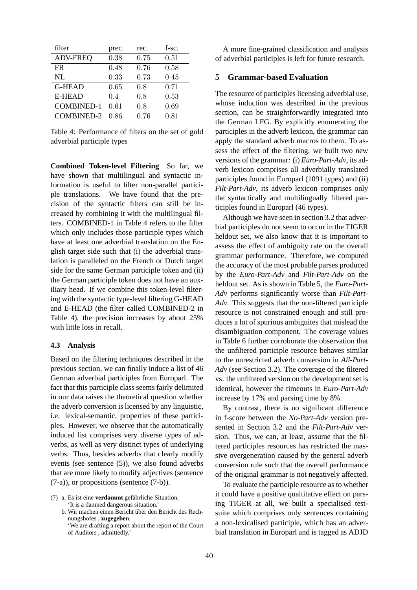| filter            | prec. | rec. | f-sc. |
|-------------------|-------|------|-------|
| <b>ADV-FREQ</b>   | 0.38  | 0.75 | 0.51  |
| FR.               | 0.48  | 0.76 | 0.58  |
| NL                | 0.33  | 0.73 | 0.45  |
| <b>G-HEAD</b>     | 0.65  | 0.8  | 0.71  |
| <b>E-HEAD</b>     | 0.4   | 0.8  | 0.53  |
| <b>COMBINED-1</b> | 0.61  | 0.8  | 0.69  |
| <b>COMBINED-2</b> | O 86  | 0.76 | 0.81  |

Table 4: Performance of filters on the set of gold adverbial participle types

**Combined Token-level Filtering** So far, we have shown that multilingual and syntactic information is useful to filter non-parallel participle translations. We have found that the precision of the syntactic filters can still be increased by combining it with the multilingual filters. COMBINED-1 in Table 4 refers to the filter which only includes those participle types which have at least one adverbial translation on the English target side such that (i) the adverbial translation is paralleled on the French or Dutch target side for the same German participle token and (ii) the German participle token does not have an auxiliary head. If we combine this token-level filtering with the syntactic type-level filtering G-HEAD and E-HEAD (the filter called COMBINED-2 in Table 4), the precision increases by about 25% with little loss in recall.

#### **4.3 Analysis**

Based on the filtering techniques described in the previous section, we can finally induce a list of 46 German adverbial participles from Europarl. The fact that this participle class seems fairly delimited in our data raises the theoretical question whether the adverb conversion is licensed by any linguistic, i.e. lexical-semantic, properties of these participles. However, we observe that the automatically induced list comprises very diverse types of adverbs, as well as very distinct types of underlying verbs. Thus, besides adverbs that clearly modify events (see sentence (5)), we also found adverbs that are more likely to modify adjectives (sentence (7-a)), or propositions (sentence (7-b)).

(7) a. Es ist eine **verdammt** gefahrliche Situation. ¨ 'It is a damned dangerous situation.'

b. Wir machen einen Bericht über den Bericht des Rechnungshofes , **zugegeben**.

'We are drafting a report about the report of the Court of Auditors , admittedly.'

A more fine-grained classification and analysis of adverbial participles is left for future research.

# **5 Grammar-based Evaluation**

The resource of participles licensing adverbial use, whose induction was described in the previous section, can be straightforwardly integrated into the German LFG. By explicitly enumerating the participles in the adverb lexicon, the grammar can apply the standard adverb macros to them. To assess the effect of the filtering, we built two new versions of the grammar: (i) *Euro-Part-Adv*, its adverb lexicon comprises all adverbially translated participles found in Europarl (1091 types) and (ii) *Filt-Part-Adv*, its adverb lexicon comprises only the syntactically and multilingually filtered participles found in Europarl (46 types).

Although we have seen in section 3.2 that adverbial participles do not seem to occur in the TIGER heldout set, we also know that it is important to assess the effect of ambiguity rate on the overall grammar performance. Therefore, we computed the accuracy of the most probable parses produced by the *Euro-Part-Adv* and *Filt-Part-Adv* on the heldout set. As is shown in Table 5, the *Euro-Part-Adv* performs significantly worse than *Filt-Part-Adv*. This suggests that the non-filtered participle resource is not constrained enough and still produces a lot of spurious ambiguites that mislead the disambiguation component. The coverage values in Table 6 further corroborate the observation that the unfiltered participle resource behaves similar to the unrestricted adverb conversion in *All-Part-Adv* (see Section 3.2). The coverage of the filtered vs. the unfiltered version on the development set is identical, however the timeouts in *Euro-Part-Adv* increase by 17% and parsing time by 8%.

By contrast, there is no significant difference in f-score between the *No-Part-Adv* version presented in Section 3.2 and the *Filt-Part-Adv* version. Thus, we can, at least, assume that the filtered participles resources has restricted the massive overgeneration caused by the general adverb conversion rule such that the overall performance of the original grammar is not negatively affected.

To evaluate the participle resource as to whether it could have a positive qualtitative effect on parsing TIGER at all, we built a specialised testsuite which comprises only sentences containing a non-lexicalised participle, which has an adverbial translation in Europarl and is tagged as ADJD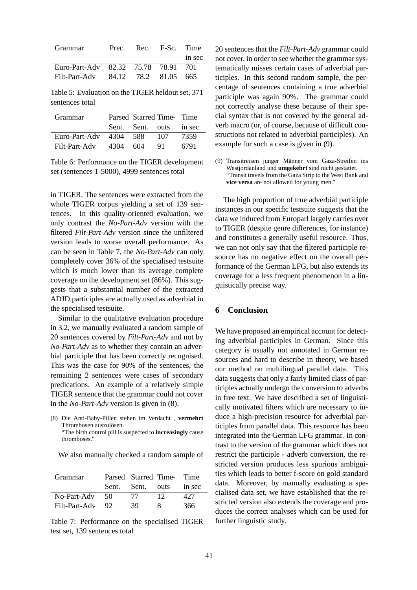| <b>Grammar</b>                      | Prec. Rec. F-Sc. Time |        |
|-------------------------------------|-----------------------|--------|
|                                     |                       | in sec |
| Euro-Part-Adv 82.32 75.78 78.91 701 |                       |        |
| Filt-Part-Adv 84.12 78.2 81.05 665  |                       |        |

Table 5: Evaluation on the TIGER heldout set, 371 sentences total

| <b>Grammar</b>           |  | Parsed Starred Time- Time |      |
|--------------------------|--|---------------------------|------|
|                          |  | Sent. Sent. outs in sec   |      |
| Euro-Part-Adv 4304 588   |  | - 107                     | 7359 |
| Filt-Part-Adv $4304$ 604 |  | -91                       | 6791 |

Table 6: Performance on the TIGER development set (sentences 1-5000), 4999 sentences total

in TIGER. The sentences were extracted from the whole TIGER corpus yielding a set of 139 sentences. In this quality-oriented evaluation, we only contrast the *No-Part-Adv* version with the filtered *Filt-Part-Adv* version since the unfiltered version leads to worse overall performance. As can be seen in Table 7, the *No-Part-Adv* can only completely cover 36% of the specialised testsuite which is much lower than its average complete coverage on the development set (86%). This suggests that a substantial number of the extracted ADJD participles are actually used as adverbial in the specialised testsuite.

Similar to the qualitative evaluation procedure in 3.2, we manually evaluated a random sample of 20 sentences covered by *Filt-Part-Adv* and not by *No-Part-Adv* as to whether they contain an adverbial participle that has been correctly recognised. This was the case for 90% of the sentences, the remaining 2 sentences were cases of secondary predications. An example of a relatively simple TIGER sentence that the grammar could not cover in the *No-Part-Adv* version is given in (8).

(8) Die Anti-Baby-Pillen stehen im Verdacht , **vermehrt** Thrombosen auszulösen. "The birth control pill is suspected to **increasingly** cause thromboses."

We also manually checked a random sample of

| <b>Grammar</b> |       | Parsed Starred Time- Time |      |        |
|----------------|-------|---------------------------|------|--------|
|                | Sent. | Sent.                     | outs | in sec |
| No-Part-Adv    | -50   | -77                       | 12   | 427    |
| Filt-Part-Adv  | 92    | 39                        | x.   | 366    |

Table 7: Performance on the specialised TIGER test set, 139 sentences total

20 sentences that the *Filt-Part-Adv* grammar could not cover, in order to see whether the grammar systematically misses certain cases of adverbial participles. In this second random sample, the percentage of sentences containing a true adverbial participle was again 90%. The grammar could not correctly analyse these because of their special syntax that is not covered by the general adverb macro (or, of course, because of difficult constructions not related to adverbial participles). An example for such a case is given in (9).

(9) Transitreisen junger Männer vom Gaza-Streifen ins Westjordanland und **umgekehrt** sind nicht gestattet. "Transit travels from the Gaza Strip to the West Bank and **vice versa** are not allowed for young men."

The high proportion of true adverbial participle instances in our specific testsuite suggests that the data we induced from Europarl largely carries over to TIGER (despite genre differences, for instance) and constitutes a generally useful resource. Thus, we can not only say that the filtered participle resource has no negative effect on the overall performance of the German LFG, but also extends its coverage for a less frequent phenomenon in a linguistically precise way.

# **6 Conclusion**

We have proposed an empirical account for detecting adverbial participles in German. Since this category is usually not annotated in German resources and hard to describe in theory, we based our method on multilingual parallel data. This data suggests that only a fairly limited class of participles actually undergo the conversion to adverbs in free text. We have described a set of linguistically motivated filters which are necessary to induce a high-precision resource for adverbial participles from parallel data. This resource has been integrated into the German LFG grammar. In contrast to the version of the grammar which does not restrict the participle - adverb conversion, the restricted version produces less spurious ambiguities which leads to better f-score on gold standard data. Moreover, by manually evaluating a specialised data set, we have established that the restricted version also extends the coverage and produces the correct analyses which can be used for further linguistic study.